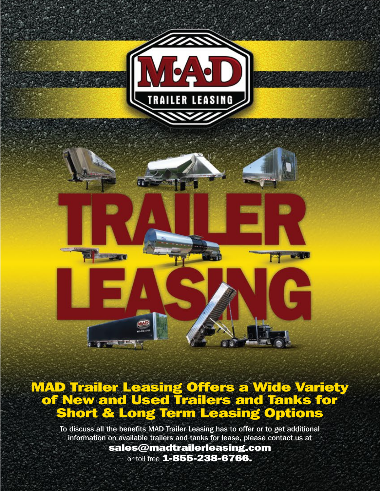

#### MAD Trailer Leasing Offers a Wide Variety of New and Used Trailers and Tanks for Short & Long Term Leasing Options

**COLORED BEE** 

To discuss all the benefits MAD Trailer Leasing has to offer or to get additional information on available trailers and tanks for lease, please contact us at

> sales@madtrailerleasing.com or toll free **1-855-238-6766.**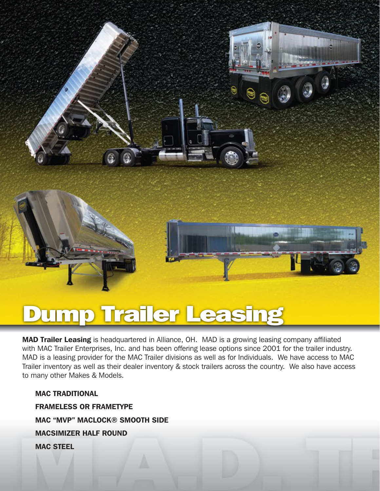

# Dump Trailer Leasing

MAD Trailer Leasing is headquartered in Alliance, OH. MAD is a growing leasing company affiliated with MAC Trailer Enterprises, Inc. and has been offering lease options since 2001 for the trailer industry. MAD is a leasing provider for the MAC Trailer divisions as well as for Individuals. We have access to MAC Trailer inventory as well as their dealer inventory & stock trailers across the country. We also have access to many other Makes & Models.

MAC TRADITIONAL

 FRAMELESS OR FRAMETYPE MAC "MVP" MACLOCK® SMOOTH SIDE MACSIMIZER HALF ROUND MAC STEEL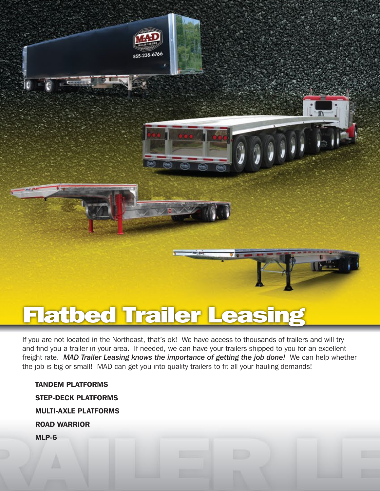

### Flatbed Trailer Leasing

If you are not located in the Northeast, that's ok! We have access to thousands of trailers and will try and find you a trailer in your area. If needed, we can have your trailers shipped to you for an excellent freight rate. *MAD Trailer Leasing knows the importance of getting the job done!* We can help whether the job is big or small! MAD can get you into quality trailers to fit all your hauling demands!

 TANDEM PLATFORMS STEP-DECK PLATFORMS MULTI-AXLE PLATFORMS ROAD WARRIOR MLP-6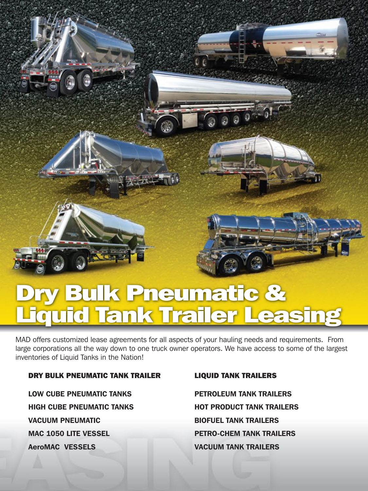## Dry Bulk Pneumatic & Liquid Tank Trailer Leasing

MAD offers customized lease agreements for all aspects of your hauling needs and requirements. From large corporations all the way down to one truck owner operators. We have access to some of the largest inventories of Liquid Tanks in the Nation!

#### DRY BULK PNEUMATIC TANK TRAILER LIQUID TANK TRAILERS

LOW CUBE PNEUMATIC TANKS THE PETROLEUM TANK TRAILERS HIGH CUBE PNEUMATIC TANKS HOT PRODUCT TANK TRAILERS VACUUM PNEUMATIC BIOFUEL TANK TRAILERS MAC 1050 LITE VESSEL PETRO-CHEM TANK TRAILERS AeroMAC VESSELS VACUUM TANK TRAILERS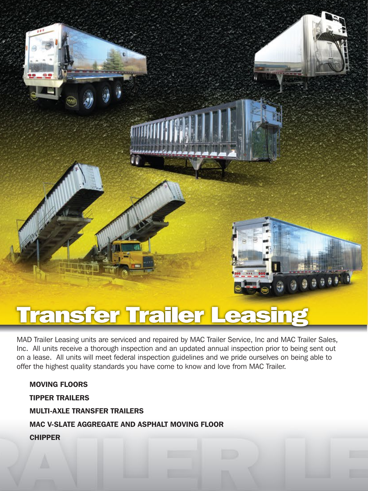

### Transfer Trailer Leasing

MAD Trailer Leasing units are serviced and repaired by MAC Trailer Service, Inc and MAC Trailer Sales, Inc. All units receive a thorough inspection and an updated annual inspection prior to being sent out on a lease. All units will meet federal inspection guidelines and we pride ourselves on being able to offer the highest quality standards you have come to know and love from MAC Trailer.

 MOVING FLOORS TIPPER TRAILERS MULTI-AXLE TRANSFER TRAILERS MAC V-SLATE AGGREGATE AND ASPHALT MOVING FLOOR CHIPPER